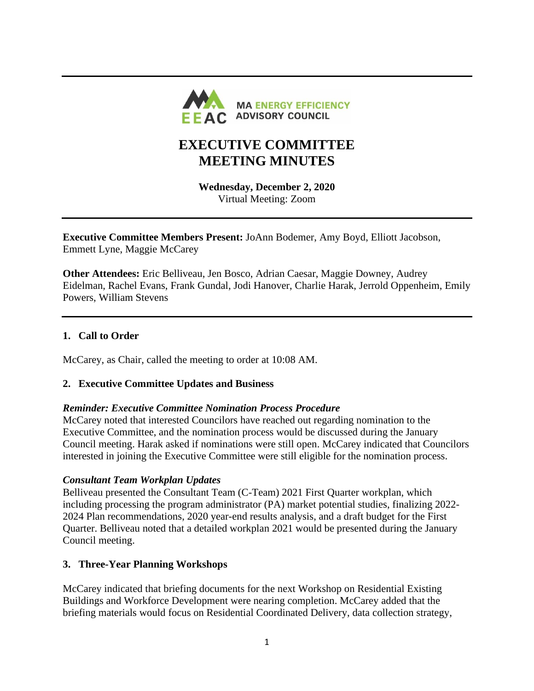

# **EXECUTIVE COMMITTEE MEETING MINUTES**

**Wednesday, December 2, 2020** Virtual Meeting: Zoom

**Executive Committee Members Present:** JoAnn Bodemer, Amy Boyd, Elliott Jacobson, Emmett Lyne, Maggie McCarey

**Other Attendees:** Eric Belliveau, Jen Bosco, Adrian Caesar, Maggie Downey, Audrey Eidelman, Rachel Evans, Frank Gundal, Jodi Hanover, Charlie Harak, Jerrold Oppenheim, Emily Powers, William Stevens

# **1. Call to Order**

McCarey, as Chair, called the meeting to order at 10:08 AM.

# **2. Executive Committee Updates and Business**

#### *Reminder: Executive Committee Nomination Process Procedure*

McCarey noted that interested Councilors have reached out regarding nomination to the Executive Committee, and the nomination process would be discussed during the January Council meeting. Harak asked if nominations were still open. McCarey indicated that Councilors interested in joining the Executive Committee were still eligible for the nomination process.

#### *Consultant Team Workplan Updates*

Belliveau presented the Consultant Team (C-Team) 2021 First Quarter workplan, which including processing the program administrator (PA) market potential studies, finalizing 2022- 2024 Plan recommendations, 2020 year-end results analysis, and a draft budget for the First Quarter. Belliveau noted that a detailed workplan 2021 would be presented during the January Council meeting.

#### **3. Three-Year Planning Workshops**

McCarey indicated that briefing documents for the next Workshop on Residential Existing Buildings and Workforce Development were nearing completion. McCarey added that the briefing materials would focus on Residential Coordinated Delivery, data collection strategy,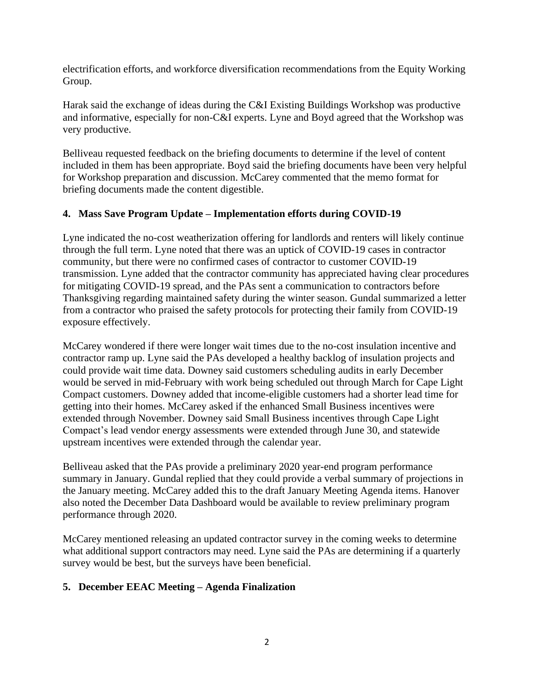electrification efforts, and workforce diversification recommendations from the Equity Working Group.

Harak said the exchange of ideas during the C&I Existing Buildings Workshop was productive and informative, especially for non-C&I experts. Lyne and Boyd agreed that the Workshop was very productive.

Belliveau requested feedback on the briefing documents to determine if the level of content included in them has been appropriate. Boyd said the briefing documents have been very helpful for Workshop preparation and discussion. McCarey commented that the memo format for briefing documents made the content digestible.

# **4. Mass Save Program Update – Implementation efforts during COVID-19**

Lyne indicated the no-cost weatherization offering for landlords and renters will likely continue through the full term. Lyne noted that there was an uptick of COVID-19 cases in contractor community, but there were no confirmed cases of contractor to customer COVID-19 transmission. Lyne added that the contractor community has appreciated having clear procedures for mitigating COVID-19 spread, and the PAs sent a communication to contractors before Thanksgiving regarding maintained safety during the winter season. Gundal summarized a letter from a contractor who praised the safety protocols for protecting their family from COVID-19 exposure effectively.

McCarey wondered if there were longer wait times due to the no-cost insulation incentive and contractor ramp up. Lyne said the PAs developed a healthy backlog of insulation projects and could provide wait time data. Downey said customers scheduling audits in early December would be served in mid-February with work being scheduled out through March for Cape Light Compact customers. Downey added that income-eligible customers had a shorter lead time for getting into their homes. McCarey asked if the enhanced Small Business incentives were extended through November. Downey said Small Business incentives through Cape Light Compact's lead vendor energy assessments were extended through June 30, and statewide upstream incentives were extended through the calendar year.

Belliveau asked that the PAs provide a preliminary 2020 year-end program performance summary in January. Gundal replied that they could provide a verbal summary of projections in the January meeting. McCarey added this to the draft January Meeting Agenda items. Hanover also noted the December Data Dashboard would be available to review preliminary program performance through 2020.

McCarey mentioned releasing an updated contractor survey in the coming weeks to determine what additional support contractors may need. Lyne said the PAs are determining if a quarterly survey would be best, but the surveys have been beneficial.

# **5. December EEAC Meeting – Agenda Finalization**